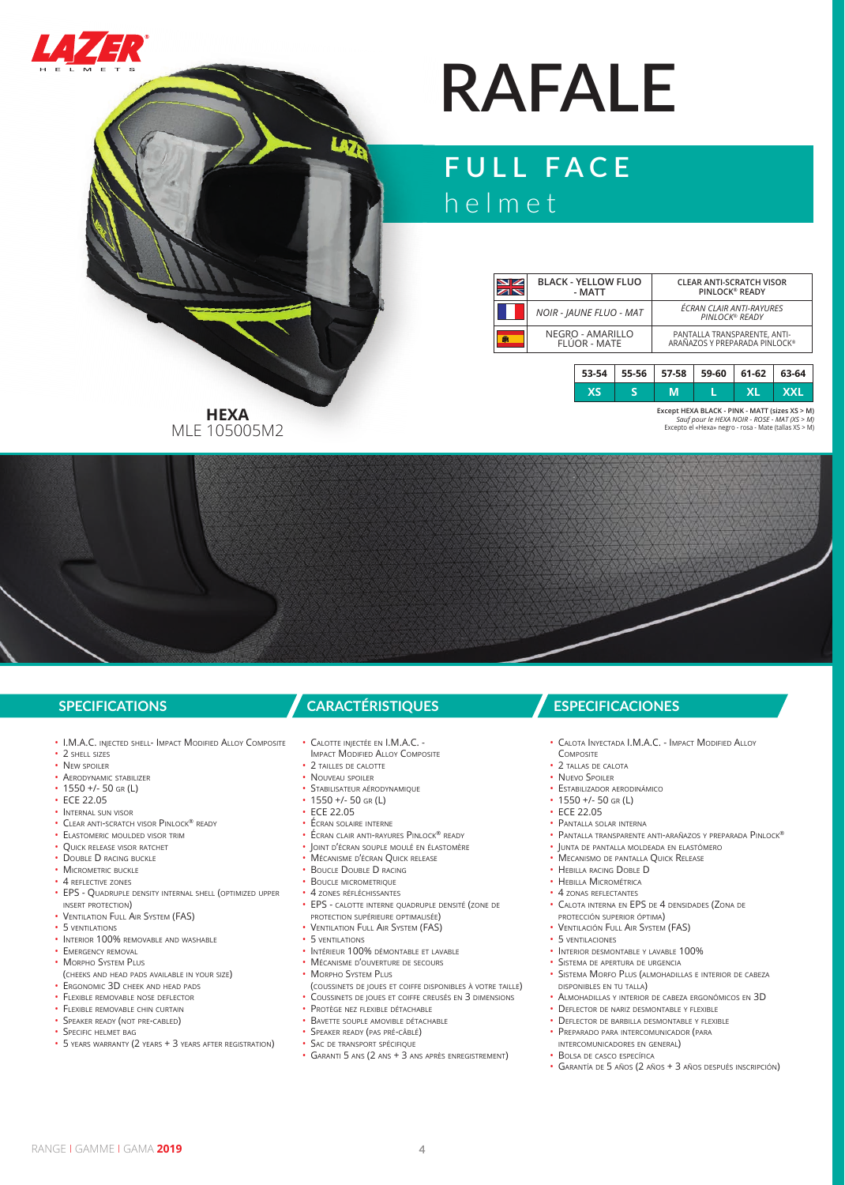



# **RAFALE**

## **FULL FACE** helmet

| $\blacksquare$ | <b>BLACK - YELLOW FLUO</b><br>- MATT |       |       | <b>CLEAR ANTI-SCRATCH VISOR</b><br>PINLOCK <sup>®</sup> READY |       |       |            |
|----------------|--------------------------------------|-------|-------|---------------------------------------------------------------|-------|-------|------------|
|                | <b>NOIR - JAUNE FLUO - MAT</b>       |       |       | ÉCRAN CLAIR ANTI-RAYURES<br>PINLOCK® READY                    |       |       |            |
| m              | NEGRO - AMARILLO<br>FLÚOR - MATE     |       |       | PANTALLA TRANSPARENTE, ANTI-<br>ARAÑAZOS Y PREPARADA PINLOCK® |       |       |            |
|                |                                      |       |       |                                                               |       |       |            |
|                |                                      | 53-54 | 55-56 | 57-58                                                         | 59-60 | 61-62 | 63-64      |
|                |                                      | XS    |       | М                                                             |       | XL    | <b>XXL</b> |

**Except HEXA BLACK - PINK - MATT (sizes XS > M)**  *Sauf pour le HEXA NOIR - ROSE - MAT (XS > M)*  Excepto el «Hexa» negro - rosa - Mate (tallas XS > M)

**HEXA** MLE 105005M2

- I.M.A.C. INJECTED SHELL- IMPACT MODIFIED ALLOY COMPOSITE
- 2 SHELL SIZES
- NEW SPOILER • AERODYNAMIC STABILIZER
- 1550 +/- 50 GR (L)
- ECE 22.05
- INTERNAL SUN VISOR
- CLEAR ANTI-SCRATCH VISOR PINLOCK® READY
- ELASTOMERIC MOULDED VISOR TRIM
- QUICK RELEASE VISOR RATCHET
- DOUBLE D RACING BUCKLE
- MICROMETRIC BUCKLE
- 4 REFLECTIVE ZONES
- EPS QUADRUPLE DENSITY INTERNAL SHELL (OPTIMIZED UPPER INSERT PROTECTION)
- VENTILATION FULL AIR SYSTEM (FAS)
- 5 VENTILATIONS
- INTERIOR 100% REMOVABLE AND WASHABLE
- **EMERGENCY REMOVAL**
- MORPHO SYSTEM PLUS
- (CHEEKS AND HEAD PADS AVAILABLE IN YOUR SIZE)
- ERGONOMIC 3D CHEEK AND HEAD PADS
- FLEXIBLE REMOVABLE NOSE DEFLECTOR
- FI FXIBLE REMOVABLE CHIN CURTAIN
- SPEAKER READY (NOT PRE-CABLED)
- SPECIFIC HELMET BAG
- 5 YEARS WARRANTY (2 YEARS + 3 YEARS AFTER REGISTRATION)

- CALOTTE INJECTÉE EN I.M.A.C. -
- IMPACT MODIFIED ALLOY COMPOSITE
- 2 TAILLES DE CALOTTE
- NOUVEAU SPOILER
- STABILISATEUR AÉRODYNAMIQUE
- 1550 +/- 50 GR (L) • ECE 22.05
- ÉCRAN SOLAIRE INTERNE
- ÉCRAN CLAIR ANTI-RAYURES PINLOCK® READY
- JOINT D'ÉCRAN SOUPLE MOULÉ EN ÉLASTOMÈRE
- MÉCANISME D'ÉCRAN QUICK RELEASE
- BOUCLE DOUBLE D RACING
- BOUCLE MICROMETRIQUE
- 4 ZONES RÉFLÉCHISSANTES
- EPS CALOTTE INTERNE QUADRUPLE DENSITÉ (ZONE DE PROTECTION SUPÉRIEURE OPTIMALISÉE)
- VENTILATION FULL AIR SYSTEM (FAS)
- 5 VENTILATIONS
- INTÉRIEUR 100% DÉMONTABLE ET LAVABLE
- MÉCANISME D'OUVERTURE DE SECOURS
- MORPHO SYSTEM PLUS
- (COUSSINETS DE JOUES ET COIFFE DISPONIBLES <sup>À</sup> VOTRE TAILLE) • COUSSINETS DE JOUES ET COIFFE CREUSÉS EN 3 DIMENSIONS
- PROTÈGE NEZ FLEXIBLE DÉTACHABLE
- BAVETTE SOUPLE AMOVIBLE DÉTACHABLE
- SPEAKER READY (PAS PRÉ-CÂBLÉ) • SAC DE TRANSPORT SPÉCIFIQUE
- GARANTI 5 ANS (2 ANS + 3 ANS APRÈS ENREGISTREMENT)

### **SPECIFICATIONS CARACTÉRISTIQUES ESPECIFICACIONES**

- CALOTA INYECTADA I.M.A.C. IMPACT MODIFIED ALLOY
- COMPOSITE
- 2 TALLAS DE CALOTA
- NUEVO SPOILER
- ESTABILIZADOR AERODINÁMICO • 1550 +/- 50 GR (L)
- ECE 22.05
- PANTALLA SOLAR INTERNA
- PANTALLA TRANSPARENTE ANTI-ARAÑAZOS Y PREPARADA PINLOCK®
- JUNTA DE PANTALLA MOLDEADA EN ELASTÓMERO
- MECANISMO DE PANTALLA QUICK RELEASE
- HEBILLA RACING DOBLE D
- HEBILLA MICROMÉTRICA
- 4 ZONAS REFLECTANTES
- CALOTA INTERNA EN EPS DE 4 DENSIDADES (ZONA DE
- PROTECCIÓN SUPERIOR ÓPTIMA)
- VENTILACIÓN FULL AIR SYSTEM (FAS) • 5 VENTILACIONES
- 
- INTERIOR DESMONTABLE Y LAVABLE 100% • SISTEMA DE APERTURA DE URGENCIA
- SISTEMA MORFO PLUS (ALMOHADILLAS <sup>E</sup> INTERIOR DE CABEZA DISPONIBLES EN TU TALLA)
- ALMOHADILLAS <sup>Y</sup> INTERIOR DE CABEZA ERGONÓMICOS EN 3D
- DEFLECTOR DE NARIZ DESMONTABLE Y FLEXIBLE
- DEFLECTOR DE BARBILLA DESMONTABLE <sup>Y</sup> FLEXIBLE
- PREPARADO PARA INTERCOMUNICADOR (PARA INTERCOMUNICADORES EN GENERAL)
- BOLSA DE CASCO ESPECÍFICA
- GARANTÍA DE 5 AÑOS (2 AÑOS + 3 AÑOS DESPUÉS INSCRIPCIÓN)